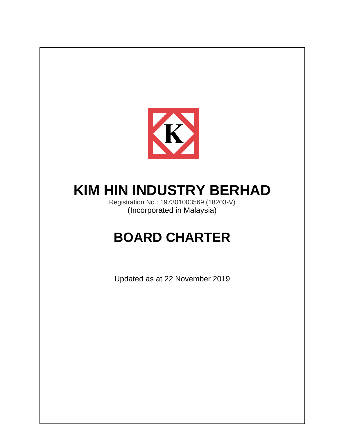

# **KIM HIN INDUSTRY BERHAD**

Registration No.: 197301003569 (18203-V) (Incorporated in Malaysia)

# **BOARD CHARTER**

Updated as at 22 November 2019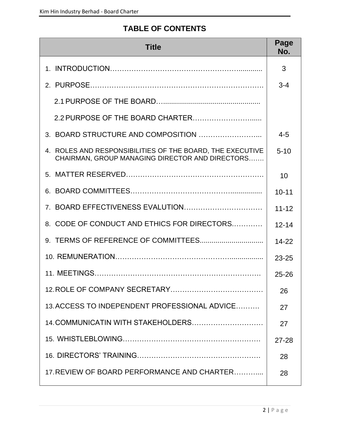# **TABLE OF CONTENTS**

| <b>Title</b>                                                                                                 | Page<br>No. |
|--------------------------------------------------------------------------------------------------------------|-------------|
|                                                                                                              | 3           |
|                                                                                                              | $3 - 4$     |
|                                                                                                              |             |
|                                                                                                              |             |
|                                                                                                              | $4 - 5$     |
| 4. ROLES AND RESPONSIBILITIES OF THE BOARD, THE EXECUTIVE<br>CHAIRMAN, GROUP MANAGING DIRECTOR AND DIRECTORS | $5 - 10$    |
|                                                                                                              | 10          |
|                                                                                                              | $10 - 11$   |
|                                                                                                              | $11 - 12$   |
| 8. CODE OF CONDUCT AND ETHICS FOR DIRECTORS                                                                  | $12 - 14$   |
|                                                                                                              | $14 - 22$   |
|                                                                                                              | $23 - 25$   |
|                                                                                                              | $25 - 26$   |
|                                                                                                              | 26          |
| 13. ACCESS TO INDEPENDENT PROFESSIONAL ADVICE                                                                | 27          |
| 14. COMMUNICATIN WITH STAKEHOLDERS                                                                           | 27          |
|                                                                                                              | $27 - 28$   |
|                                                                                                              | 28          |
| 17. REVIEW OF BOARD PERFORMANCE AND CHARTER                                                                  | 28          |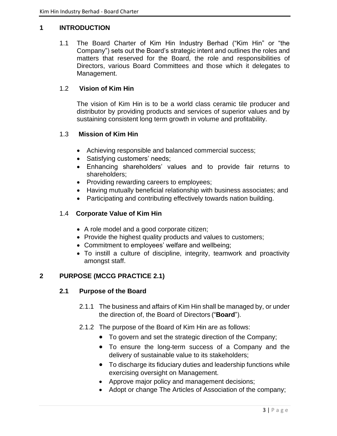#### **1 INTRODUCTION**

1.1 The Board Charter of Kim Hin Industry Berhad ("Kim Hin" or "the Company") sets out the Board's strategic intent and outlines the roles and matters that reserved for the Board, the role and responsibilities of Directors, various Board Committees and those which it delegates to Management.

#### 1.2 **Vision of Kim Hin**

The vision of Kim Hin is to be a world class ceramic tile producer and distributor by providing products and services of superior values and by sustaining consistent long term growth in volume and profitability.

# 1.3 **Mission of Kim Hin**

- Achieving responsible and balanced commercial success;
- Satisfying customers' needs;
- Enhancing shareholders' values and to provide fair returns to shareholders;
- Providing rewarding careers to employees;
- Having mutually beneficial relationship with business associates; and
- Participating and contributing effectively towards nation building.

#### 1.4 **Corporate Value of Kim Hin**

- A role model and a good corporate citizen;
- Provide the highest quality products and values to customers;
- Commitment to employees' welfare and wellbeing;
- To instill a culture of discipline, integrity, teamwork and proactivity amongst staff.

#### **2 PURPOSE (MCCG PRACTICE 2.1)**

#### **2.1 Purpose of the Board**

- 2.1.1 The business and affairs of Kim Hin shall be managed by, or under the direction of, the Board of Directors ("**Board**").
- 2.1.2 The purpose of the Board of Kim Hin are as follows:
	- To govern and set the strategic direction of the Company;
	- To ensure the long-term success of a Company and the delivery of sustainable value to its stakeholders;
	- To discharge its fiduciary duties and leadership functions while exercising oversight on Management.
	- Approve major policy and management decisions;
	- Adopt or change The Articles of Association of the company;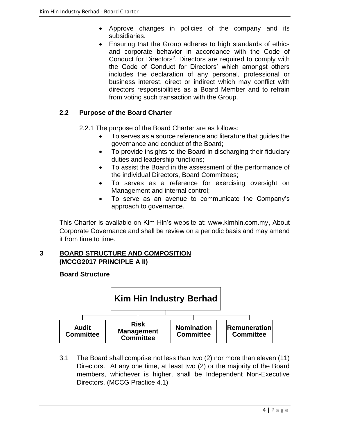- Approve changes in policies of the company and its subsidiaries.
- Ensuring that the Group adheres to high standards of ethics and corporate behavior in accordance with the Code of Conduct for Directors<sup>2</sup>. Directors are required to comply with the Code of Conduct for Directors' which amongst others includes the declaration of any personal, professional or business interest, direct or indirect which may conflict with directors responsibilities as a Board Member and to refrain from voting such transaction with the Group.

# **2.2 Purpose of the Board Charter**

2.2.1 The purpose of the Board Charter are as follows:

- To serves as a source reference and literature that guides the governance and conduct of the Board;
- To provide insights to the Board in discharging their fiduciary duties and leadership functions;
- To assist the Board in the assessment of the performance of the individual Directors, Board Committees;
- To serves as a reference for exercising oversight on Management and internal control;
- To serve as an avenue to communicate the Company's approach to governance.

This Charter is available on Kim Hin's website at: www.kimhin.com.my, About Corporate Governance and shall be review on a periodic basis and may amend it from time to time.

# **3 BOARD STRUCTURE AND COMPOSITION (MCCG2017 PRINCIPLE A II)**

# **Board Structure**



3.1 The Board shall comprise not less than two (2) nor more than eleven (11) Directors. At any one time, at least two (2) or the majority of the Board members, whichever is higher, shall be Independent Non-Executive Directors. (MCCG Practice 4.1)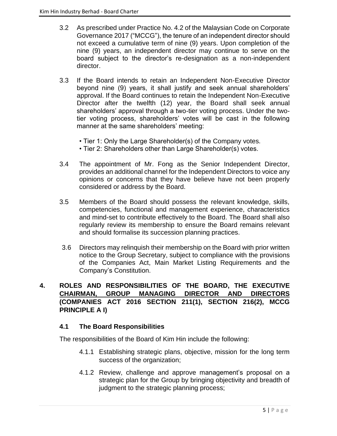- 3.2 As prescribed under Practice No. 4.2 of the Malaysian Code on Corporate Governance 2017 ("MCCG"), the tenure of an independent director should not exceed a cumulative term of nine (9) years. Upon completion of the nine (9) years, an independent director may continue to serve on the board subject to the director's re-designation as a non-independent director.
- 3.3 If the Board intends to retain an Independent Non-Executive Director beyond nine (9) years, it shall justify and seek annual shareholders' approval. If the Board continues to retain the Independent Non-Executive Director after the twelfth (12) year, the Board shall seek annual shareholders' approval through a two-tier voting process. Under the twotier voting process, shareholders' votes will be cast in the following manner at the same shareholders' meeting:
	- Tier 1: Only the Large Shareholder(s) of the Company votes.
	- Tier 2: Shareholders other than Large Shareholder(s) votes.
- 3.4 The appointment of Mr. Fong as the Senior Independent Director, provides an additional channel for the Independent Directors to voice any opinions or concerns that they have believe have not been properly considered or address by the Board.
- 3.5 Members of the Board should possess the relevant knowledge, skills, competencies, functional and management experience, characteristics and mind-set to contribute effectively to the Board. The Board shall also regularly review its membership to ensure the Board remains relevant and should formalise its succession planning practices.
- 3.6 Directors may relinquish their membership on the Board with prior written notice to the Group Secretary, subject to compliance with the provisions of the Companies Act, Main Market Listing Requirements and the Company's Constitution.

# **4. ROLES AND RESPONSIBILITIES OF THE BOARD, THE EXECUTIVE CHAIRMAN, GROUP MANAGING DIRECTOR AND DIRECTORS (COMPANIES ACT 2016 SECTION 211(1), SECTION 216(2), MCCG PRINCIPLE A I)**

# **4.1 The Board Responsibilities**

The responsibilities of the Board of Kim Hin include the following:

- 4.1.1 Establishing strategic plans, objective, mission for the long term success of the organization;
- 4.1.2 Review, challenge and approve management's proposal on a strategic plan for the Group by bringing objectivity and breadth of judgment to the strategic planning process;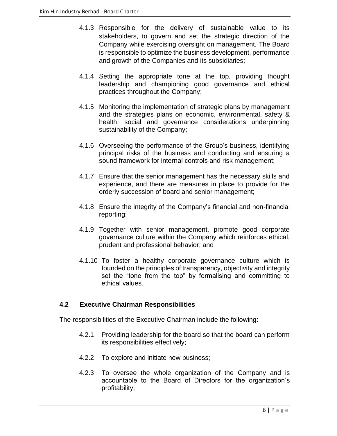- 4.1.3 Responsible for the delivery of sustainable value to its stakeholders, to govern and set the strategic direction of the Company while exercising oversight on management. The Board is responsible to optimize the business development, performance and growth of the Companies and its subsidiaries;
- 4.1.4 Setting the appropriate tone at the top, providing thought leadership and championing good governance and ethical practices throughout the Company;
- 4.1.5 Monitoring the implementation of strategic plans by management and the strategies plans on economic, environmental, safety & health, social and governance considerations underpinning sustainability of the Company;
- 4.1.6 Overseeing the performance of the Group's business, identifying principal risks of the business and conducting and ensuring a sound framework for internal controls and risk management;
- 4.1.7 Ensure that the senior management has the necessary skills and experience, and there are measures in place to provide for the orderly succession of board and senior management;
- 4.1.8 Ensure the integrity of the Company's financial and non-financial reporting;
- 4.1.9 Together with senior management, promote good corporate governance culture within the Company which reinforces ethical, prudent and professional behavior; and
- 4.1.10 To foster a healthy corporate governance culture which is founded on the principles of transparency, objectivity and integrity set the "tone from the top" by formalising and committing to ethical values.

# **4.2 Executive Chairman Responsibilities**

The responsibilities of the Executive Chairman include the following:

- 4.2.1 Providing leadership for the board so that the board can perform its responsibilities effectively;
- 4.2.2 To explore and initiate new business;
- 4.2.3 To oversee the whole organization of the Company and is accountable to the Board of Directors for the organization's profitability;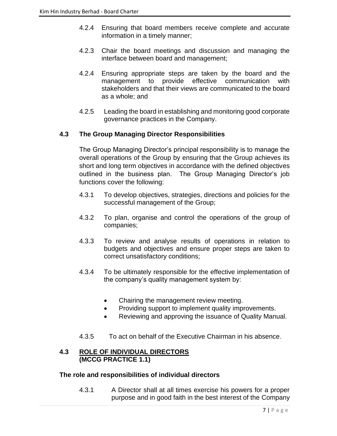- 4.2.4 Ensuring that board members receive complete and accurate information in a timely manner;
- 4.2.3 Chair the board meetings and discussion and managing the interface between board and management;
- 4.2.4 Ensuring appropriate steps are taken by the board and the management to provide effective communication with stakeholders and that their views are communicated to the board as a whole; and
- 4.2.5 Leading the board in establishing and monitoring good corporate governance practices in the Company.

# **4.3 The Group Managing Director Responsibilities**

The Group Managing Director's principal responsibility is to manage the overall operations of the Group by ensuring that the Group achieves its short and long term objectives in accordance with the defined objectives outlined in the business plan. The Group Managing Director's job functions cover the following:

- 4.3.1 To develop objectives, strategies, directions and policies for the successful management of the Group;
- 4.3.2 To plan, organise and control the operations of the group of companies;
- 4.3.3 To review and analyse results of operations in relation to budgets and objectives and ensure proper steps are taken to correct unsatisfactory conditions;
- 4.3.4 To be ultimately responsible for the effective implementation of the company's quality management system by:
	- Chairing the management review meeting.
	- Providing support to implement quality improvements.
	- Reviewing and approving the issuance of Quality Manual.
- 4.3.5 To act on behalf of the Executive Chairman in his absence.

#### **4.3 ROLE OF INDIVIDUAL DIRECTORS (MCCG PRACTICE 1.1)**

#### **The role and responsibilities of individual directors**

4.3.1 A Director shall at all times exercise his powers for a proper purpose and in good faith in the best interest of the Company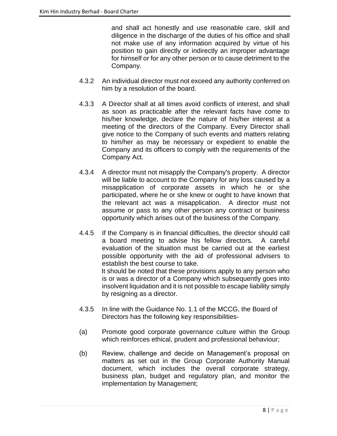and shall act honestly and use reasonable care, skill and diligence in the discharge of the duties of his office and shall not make use of any information acquired by virtue of his position to gain directly or indirectly an improper advantage for himself or for any other person or to cause detriment to the Company.

- 4.3.2 An individual director must not exceed any authority conferred on him by a resolution of the board.
- 4.3.3 A Director shall at all times avoid conflicts of interest, and shall as soon as practicable after the relevant facts have come to his/her knowledge, declare the nature of his/her interest at a meeting of the directors of the Company. Every Director shall give notice to the Company of such events and matters relating to him/her as may be necessary or expedient to enable the Company and its officers to comply with the requirements of the Company Act.
- 4.3.4 A director must not misapply the Company's property. A director will be liable to account to the Company for any loss caused by a misapplication of corporate assets in which he or she participated, where he or she knew or ought to have known that the relevant act was a misapplication. A director must not assume or pass to any other person any contract or business opportunity which arises out of the business of the Company.
- 4.4.5 If the Company is in financial difficulties, the director should call a board meeting to advise his fellow directors. A careful evaluation of the situation must be carried out at the earliest possible opportunity with the aid of professional advisers to establish the best course to take. It should be noted that these provisions apply to any person who is or was a director of a Company which subsequently goes into insolvent liquidation and it is not possible to escape liability simply by resigning as a director.
- 4.3.5 In line with the Guidance No. 1.1 of the MCCG, the Board of Directors has the following key responsibilities-
- (a) Promote good corporate governance culture within the Group which reinforces ethical, prudent and professional behaviour;
- (b) Review, challenge and decide on Management's proposal on matters as set out in the Group Corporate Authority Manual document, which includes the overall corporate strategy, business plan, budget and regulatory plan, and monitor the implementation by Management;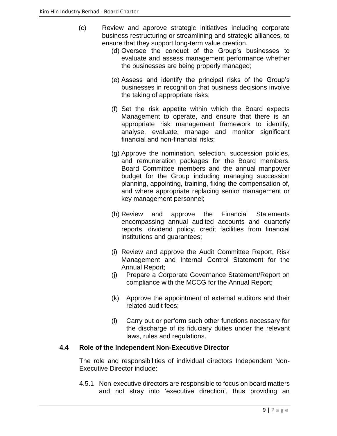- (c) Review and approve strategic initiatives including corporate business restructuring or streamlining and strategic alliances, to ensure that they support long-term value creation.
	- (d) Oversee the conduct of the Group's businesses to evaluate and assess management performance whether the businesses are being properly managed;
	- (e) Assess and identify the principal risks of the Group's businesses in recognition that business decisions involve the taking of appropriate risks;
	- (f) Set the risk appetite within which the Board expects Management to operate, and ensure that there is an appropriate risk management framework to identify, analyse, evaluate, manage and monitor significant financial and non-financial risks;
	- (g) Approve the nomination, selection, succession policies, and remuneration packages for the Board members, Board Committee members and the annual manpower budget for the Group including managing succession planning, appointing, training, fixing the compensation of, and where appropriate replacing senior management or key management personnel;
	- (h) Review and approve the Financial Statements encompassing annual audited accounts and quarterly reports, dividend policy, credit facilities from financial institutions and guarantees;
	- (i) Review and approve the Audit Committee Report, Risk Management and Internal Control Statement for the Annual Report;
	- (j) Prepare a Corporate Governance Statement/Report on compliance with the MCCG for the Annual Report;
	- (k) Approve the appointment of external auditors and their related audit fees;
	- (l) Carry out or perform such other functions necessary for the discharge of its fiduciary duties under the relevant laws, rules and regulations.

# **4.4 Role of the Independent Non-Executive Director**

The role and responsibilities of individual directors Independent Non-Executive Director include:

4.5.1 Non-executive directors are responsible to focus on board matters and not stray into 'executive direction', thus providing an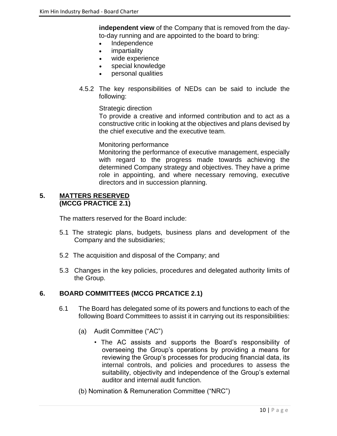**independent view** of the Company that is removed from the dayto-day running and are appointed to the board to bring:

- Independence
- *impartiality*
- wide experience
- special knowledge
- personal qualities
- 4.5.2 The key responsibilities of NEDs can be said to include the following:

#### Strategic direction

To provide a creative and informed contribution and to act as a constructive critic in looking at the objectives and plans devised by the chief executive and the executive team.

#### Monitoring performance

Monitoring the performance of executive management, especially with regard to the progress made towards achieving the determined Company strategy and objectives. They have a prime role in appointing, and where necessary removing, executive directors and in succession planning.

#### **5. MATTERS RESERVED (MCCG PRACTICE 2.1)**

The matters reserved for the Board include:

- 5.1 The strategic plans, budgets, business plans and development of the Company and the subsidiaries;
- 5.2 The acquisition and disposal of the Company; and
- 5.3 Changes in the key policies, procedures and delegated authority limits of the Group.

#### **6. BOARD COMMITTEES (MCCG PRCATICE 2.1)**

- 6.1 The Board has delegated some of its powers and functions to each of the following Board Committees to assist it in carrying out its responsibilities:
	- (a) Audit Committee ("AC")
		- The AC assists and supports the Board's responsibility of overseeing the Group's operations by providing a means for reviewing the Group's processes for producing financial data, its internal controls, and policies and procedures to assess the suitability, objectivity and independence of the Group's external auditor and internal audit function.
	- (b) Nomination & Remuneration Committee ("NRC")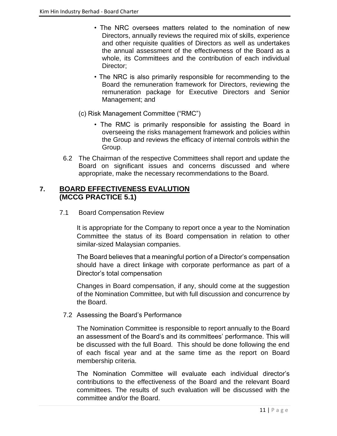- The NRC oversees matters related to the nomination of new Directors, annually reviews the required mix of skills, experience and other requisite qualities of Directors as well as undertakes the annual assessment of the effectiveness of the Board as a whole, its Committees and the contribution of each individual Director;
- The NRC is also primarily responsible for recommending to the Board the remuneration framework for Directors, reviewing the remuneration package for Executive Directors and Senior Management; and
- (c) Risk Management Committee ("RMC")
	- The RMC is primarily responsible for assisting the Board in overseeing the risks management framework and policies within the Group and reviews the efficacy of internal controls within the Group.
- 6.2 The Chairman of the respective Committees shall report and update the Board on significant issues and concerns discussed and where appropriate, make the necessary recommendations to the Board.

# **7. BOARD EFFECTIVENESS EVALUTION (MCCG PRACTICE 5.1)**

7.1 Board Compensation Review

It is appropriate for the Company to report once a year to the Nomination Committee the status of its Board compensation in relation to other similar-sized Malaysian companies.

The Board believes that a meaningful portion of a Director's compensation should have a direct linkage with corporate performance as part of a Director's total compensation

Changes in Board compensation, if any, should come at the suggestion of the Nomination Committee, but with full discussion and concurrence by the Board.

7.2 Assessing the Board's Performance

The Nomination Committee is responsible to report annually to the Board an assessment of the Board's and its committees' performance. This will be discussed with the full Board. This should be done following the end of each fiscal year and at the same time as the report on Board membership criteria.

The Nomination Committee will evaluate each individual director's contributions to the effectiveness of the Board and the relevant Board committees. The results of such evaluation will be discussed with the committee and/or the Board.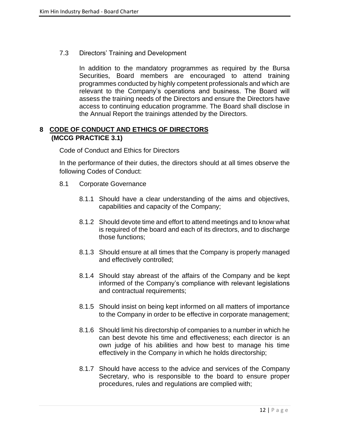7.3 Directors' Training and Development

In addition to the mandatory programmes as required by the Bursa Securities, Board members are encouraged to attend training programmes conducted by highly competent professionals and which are relevant to the Company's operations and business. The Board will assess the training needs of the Directors and ensure the Directors have access to continuing education programme. The Board shall disclose in the Annual Report the trainings attended by the Directors.

# **8 CODE OF CONDUCT AND ETHICS OF DIRECTORS (MCCG PRACTICE 3.1)**

Code of Conduct and Ethics for Directors

In the performance of their duties, the directors should at all times observe the following Codes of Conduct:

- 8.1 Corporate Governance
	- 8.1.1 Should have a clear understanding of the aims and objectives, capabilities and capacity of the Company;
	- 8.1.2 Should devote time and effort to attend meetings and to know what is required of the board and each of its directors, and to discharge those functions;
	- 8.1.3 Should ensure at all times that the Company is properly managed and effectively controlled;
	- 8.1.4 Should stay abreast of the affairs of the Company and be kept informed of the Company's compliance with relevant legislations and contractual requirements;
	- 8.1.5 Should insist on being kept informed on all matters of importance to the Company in order to be effective in corporate management;
	- 8.1.6 Should limit his directorship of companies to a number in which he can best devote his time and effectiveness; each director is an own judge of his abilities and how best to manage his time effectively in the Company in which he holds directorship;
	- 8.1.7 Should have access to the advice and services of the Company Secretary, who is responsible to the board to ensure proper procedures, rules and regulations are complied with;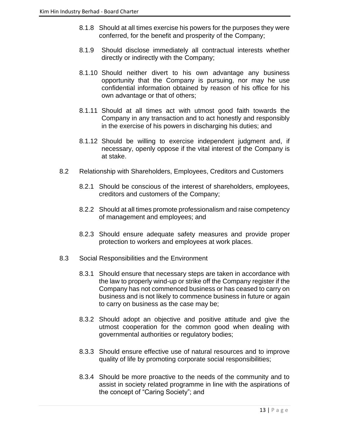- 8.1.8 Should at all times exercise his powers for the purposes they were conferred, for the benefit and prosperity of the Company;
- 8.1.9 Should disclose immediately all contractual interests whether directly or indirectly with the Company;
- 8.1.10 Should neither divert to his own advantage any business opportunity that the Company is pursuing, nor may he use confidential information obtained by reason of his office for his own advantage or that of others;
- 8.1.11 Should at all times act with utmost good faith towards the Company in any transaction and to act honestly and responsibly in the exercise of his powers in discharging his duties; and
- 8.1.12 Should be willing to exercise independent judgment and, if necessary, openly oppose if the vital interest of the Company is at stake.
- 8.2 Relationship with Shareholders, Employees, Creditors and Customers
	- 8.2.1 Should be conscious of the interest of shareholders, employees, creditors and customers of the Company;
	- 8.2.2 Should at all times promote professionalism and raise competency of management and employees; and
	- 8.2.3 Should ensure adequate safety measures and provide proper protection to workers and employees at work places.
- 8.3 Social Responsibilities and the Environment
	- 8.3.1 Should ensure that necessary steps are taken in accordance with the law to properly wind-up or strike off the Company register if the Company has not commenced business or has ceased to carry on business and is not likely to commence business in future or again to carry on business as the case may be;
	- 8.3.2 Should adopt an objective and positive attitude and give the utmost cooperation for the common good when dealing with governmental authorities or regulatory bodies;
	- 8.3.3 Should ensure effective use of natural resources and to improve quality of life by promoting corporate social responsibilities;
	- 8.3.4 Should be more proactive to the needs of the community and to assist in society related programme in line with the aspirations of the concept of "Caring Society"; and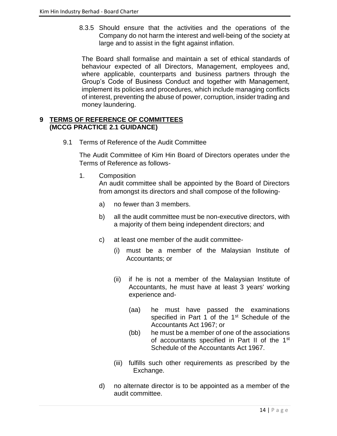8.3.5 Should ensure that the activities and the operations of the Company do not harm the interest and well-being of the society at large and to assist in the fight against inflation.

The Board shall formalise and maintain a set of ethical standards of behaviour expected of all Directors, Management, employees and, where applicable, counterparts and business partners through the Group's Code of Business Conduct and together with Management, implement its policies and procedures, which include managing conflicts of interest, preventing the abuse of power, corruption, insider trading and money laundering.

# **9 TERMS OF REFERENCE OF COMMITTEES (MCCG PRACTICE 2.1 GUIDANCE)**

9.1 Terms of Reference of the Audit Committee

The Audit Committee of Kim Hin Board of Directors operates under the Terms of Reference as follows-

1. Composition

An audit committee shall be appointed by the Board of Directors from amongst its directors and shall compose of the following-

- a) no fewer than 3 members.
- b) all the audit committee must be non-executive directors, with a majority of them being independent directors; and
- c) at least one member of the audit committee-
	- (i) must be a member of the Malaysian Institute of Accountants; or
	- (ii) if he is not a member of the Malaysian Institute of Accountants, he must have at least 3 years' working experience and-
		- (aa) he must have passed the examinations specified in Part 1 of the 1<sup>st</sup> Schedule of the Accountants Act 1967; or
		- (bb) he must be a member of one of the associations of accountants specified in Part II of the 1<sup>st</sup> Schedule of the Accountants Act 1967.
	- (iii) fulfills such other requirements as prescribed by the Exchange.
- d) no alternate director is to be appointed as a member of the audit committee.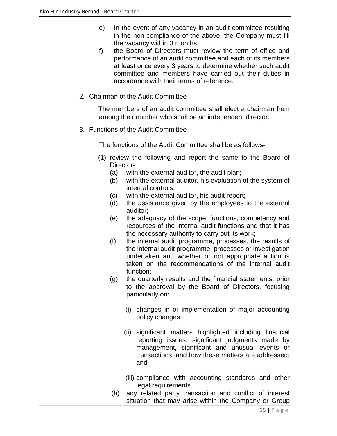- e) In the event of any vacancy in an audit committee resulting in the non-compliance of the above, the Company must fill the vacancy within 3 months.
- f) the Board of Directors must review the term of office and performance of an audit committee and each of its members at least once every 3 years to determine whether such audit committee and members have carried out their duties in accordance with their terms of reference.
- 2. Chairman of the Audit Committee

 The members of an audit committee shall elect a chairman from among their number who shall be an independent director.

3. Functions of the Audit Committee

The functions of the Audit Committee shall be as follows-

- (1) review the following and report the same to the Board of Director-
	- (a) with the external auditor, the audit plan;
	- (b) with the external auditor, his evaluation of the system of internal controls;
	- (c) with the external auditor, his audit report;
	- (d) the assistance given by the employees to the external auditor;
	- (e) the adequacy of the scope, functions, competency and resources of the internal audit functions and that it has the necessary authority to carry out its work;
	- (f) the internal audit programme, processes, the results of the internal audit programme, processes or investigation undertaken and whether or not appropriate action is taken on the recommendations of the internal audit function;
	- (g) the quarterly results and the financial statements, prior to the approval by the Board of Directors, focusing particularly on:
		- (i) changes in or implementation of major accounting policy changes;
		- (ii) significant matters highlighted including financial reporting issues, significant judgments made by management, significant and unusual events or transactions, and how these matters are addressed; and
		- (iii) compliance with accounting standards and other legal requirements.
	- (h) any related party transaction and conflict of interest situation that may arise within the Company or Group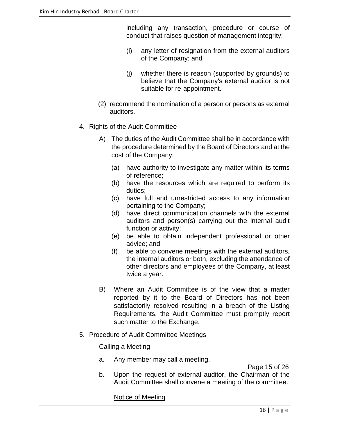including any transaction, procedure or course of conduct that raises question of management integrity;

- (i) any letter of resignation from the external auditors of the Company; and
- (j) whether there is reason (supported by grounds) to believe that the Company's external auditor is not suitable for re-appointment.
- (2) recommend the nomination of a person or persons as external auditors.
- 4. Rights of the Audit Committee
	- A) The duties of the Audit Committee shall be in accordance with the procedure determined by the Board of Directors and at the cost of the Company:
		- (a) have authority to investigate any matter within its terms of reference;
		- (b) have the resources which are required to perform its duties;
		- (c) have full and unrestricted access to any information pertaining to the Company;
		- (d) have direct communication channels with the external auditors and person(s) carrying out the internal audit function or activity;
		- (e) be able to obtain independent professional or other advice; and
		- (f) be able to convene meetings with the external auditors, the internal auditors or both, excluding the attendance of other directors and employees of the Company, at least twice a year.
	- B) Where an Audit Committee is of the view that a matter reported by it to the Board of Directors has not been satisfactorily resolved resulting in a breach of the Listing Requirements, the Audit Committee must promptly report such matter to the Exchange.
- 5. Procedure of Audit Committee Meetings

#### Calling a Meeting

a. Any member may call a meeting.

Page 15 of 26

b. Upon the request of external auditor, the Chairman of the Audit Committee shall convene a meeting of the committee.

Notice of Meeting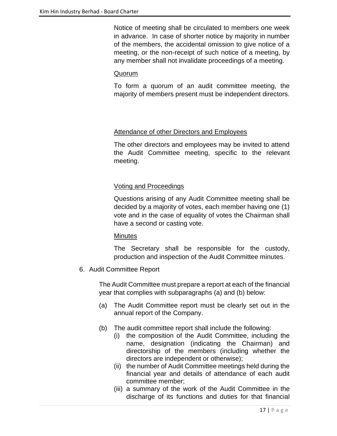Notice of meeting shall be circulated to members one week in advance. In case of shorter notice by majority in number of the members, the accidental omission to give notice of a meeting, or the non-receipt of such notice of a meeting, by any member shall not invalidate proceedings of a meeting.

# Quorum

To form a quorum of an audit committee meeting, the majority of members present must be independent directors.

# Attendance of other Directors and Employees

The other directors and employees may be invited to attend the Audit Committee meeting, specific to the relevant meeting.

# Voting and Proceedings

Questions arising of any Audit Committee meeting shall be decided by a majority of votes, each member having one (1) vote and in the case of equality of votes the Chairman shall have a second or casting vote.

#### **Minutes**

The Secretary shall be responsible for the custody, production and inspection of the Audit Committee minutes.

6. Audit Committee Report

The Audit Committee must prepare a report at each of the financial year that complies with subparagraphs (a) and (b) below:

- (a) The Audit Committee report must be clearly set out in the annual report of the Company.
- (b) The audit committee report shall include the following:
	- (i) the composition of the Audit Committee, including the name, designation (indicating the Chairman) and directorship of the members (including whether the directors are independent or otherwise);
	- (ii) the number of Audit Committee meetings held during the financial year and details of attendance of each audit committee member;
	- (iii) a summary of the work of the Audit Committee in the discharge of its functions and duties for that financial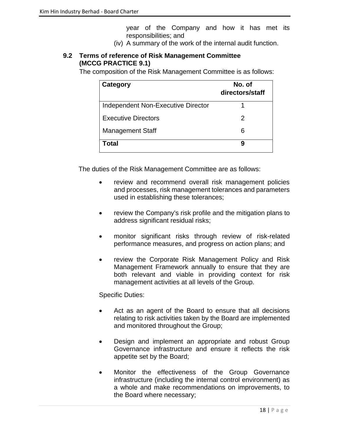year of the Company and how it has met its responsibilities; and

(iv) A summary of the work of the internal audit function.

# **9.2 Terms of reference of Risk Management Committee (MCCG PRACTICE 9.1)**

The composition of the Risk Management Committee is as follows:

| Category                           | No. of<br>directors/staff |
|------------------------------------|---------------------------|
| Independent Non-Executive Director |                           |
| <b>Executive Directors</b>         | 2                         |
| <b>Management Staff</b>            | 6                         |
| Total                              | 9                         |

The duties of the Risk Management Committee are as follows:

- review and recommend overall risk management policies and processes, risk management tolerances and parameters used in establishing these tolerances;
- review the Company's risk profile and the mitigation plans to address significant residual risks;
- monitor significant risks through review of risk-related performance measures, and progress on action plans; and
- review the Corporate Risk Management Policy and Risk Management Framework annually to ensure that they are both relevant and viable in providing context for risk management activities at all levels of the Group.

#### Specific Duties:

- Act as an agent of the Board to ensure that all decisions relating to risk activities taken by the Board are implemented and monitored throughout the Group;
- Design and implement an appropriate and robust Group Governance infrastructure and ensure it reflects the risk appetite set by the Board;
- Monitor the effectiveness of the Group Governance infrastructure (including the internal control environment) as a whole and make recommendations on improvements, to the Board where necessary;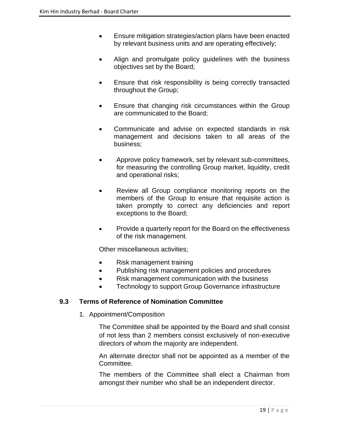- Ensure mitigation strategies/action plans have been enacted by relevant business units and are operating effectively;
- Align and promulgate policy guidelines with the business objectives set by the Board;
- Ensure that risk responsibility is being correctly transacted throughout the Group;
- Ensure that changing risk circumstances within the Group are communicated to the Board;
- Communicate and advise on expected standards in risk management and decisions taken to all areas of the business;
- Approve policy framework, set by relevant sub-committees, for measuring the controlling Group market, liquidity, credit and operational risks;
- Review all Group compliance monitoring reports on the members of the Group to ensure that requisite action is taken promptly to correct any deficiencies and report exceptions to the Board;
- Provide a quarterly report for the Board on the effectiveness of the risk management.

Other miscellaneous activities;

- Risk management training
- Publishing risk management policies and procedures
- Risk management communication with the business
- Technology to support Group Governance infrastructure

#### **9.3 Terms of Reference of Nomination Committee**

1. Appointment/Composition

The Committee shall be appointed by the Board and shall consist of not less than 2 members consist exclusively of non-executive directors of whom the majority are independent.

An alternate director shall not be appointed as a member of the Committee.

The members of the Committee shall elect a Chairman from amongst their number who shall be an independent director.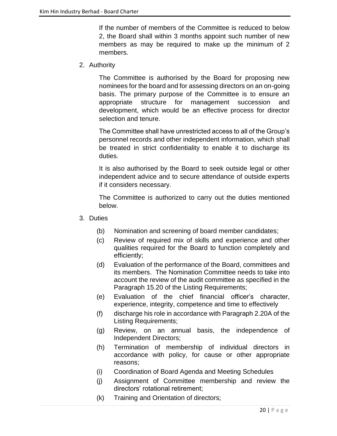If the number of members of the Committee is reduced to below 2, the Board shall within 3 months appoint such number of new members as may be required to make up the minimum of 2 members.

2. Authority

The Committee is authorised by the Board for proposing new nominees for the board and for assessing directors on an on-going basis. The primary purpose of the Committee is to ensure an appropriate structure for management succession and development, which would be an effective process for director selection and tenure.

The Committee shall have unrestricted access to all of the Group's personnel records and other independent information, which shall be treated in strict confidentiality to enable it to discharge its duties.

It is also authorised by the Board to seek outside legal or other independent advice and to secure attendance of outside experts if it considers necessary.

The Committee is authorized to carry out the duties mentioned below.

- 3. Duties
	- (b) Nomination and screening of board member candidates;
	- (c) Review of required mix of skills and experience and other qualities required for the Board to function completely and efficiently;
	- (d) Evaluation of the performance of the Board, committees and its members.The Nomination Committee needs to take into account the review of the audit committee as specified in the Paragraph 15.20 of the Listing Requirements;
	- (e) Evaluation of the chief financial officer's character, experience, integrity, competence and time to effectively
	- (f) discharge his role in accordance with Paragraph 2.20A of the Listing Requirements;
	- (g) Review, on an annual basis, the independence of Independent Directors;
	- (h) Termination of membership of individual directors in accordance with policy, for cause or other appropriate reasons;
	- (i) Coordination of Board Agenda and Meeting Schedules
	- (j) Assignment of Committee membership and review the directors' rotational retirement;
	- (k) Training and Orientation of directors;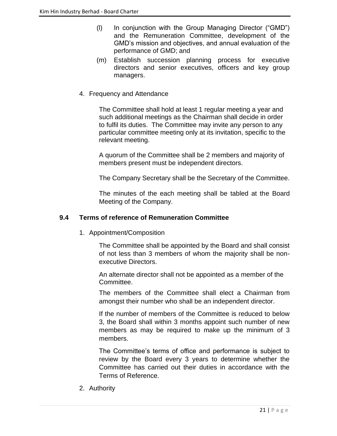- (l) In conjunction with the Group Managing Director ("GMD") and the Remuneration Committee, development of the GMD's mission and objectives, and annual evaluation of the performance of GMD; and
- (m) Establish succession planning process for executive directors and senior executives, officers and key group managers.
- 4. Frequency and Attendance

The Committee shall hold at least 1 regular meeting a year and such additional meetings as the Chairman shall decide in order to fulfil its duties. The Committee may invite any person to any particular committee meeting only at its invitation, specific to the relevant meeting.

A quorum of the Committee shall be 2 members and majority of members present must be independent directors.

The Company Secretary shall be the Secretary of the Committee.

The minutes of the each meeting shall be tabled at the Board Meeting of the Company.

# **9.4 Terms of reference of Remuneration Committee**

1. Appointment/Composition

The Committee shall be appointed by the Board and shall consist of not less than 3 members of whom the majority shall be nonexecutive Directors.

An alternate director shall not be appointed as a member of the Committee.

The members of the Committee shall elect a Chairman from amongst their number who shall be an independent director.

If the number of members of the Committee is reduced to below 3, the Board shall within 3 months appoint such number of new members as may be required to make up the minimum of 3 members.

The Committee's terms of office and performance is subject to review by the Board every 3 years to determine whether the Committee has carried out their duties in accordance with the Terms of Reference.

2. Authority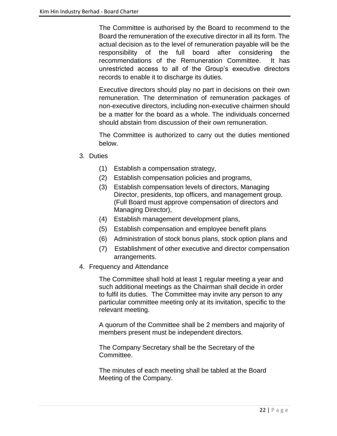The Committee is authorised by the Board to recommend to the Board the remuneration of the executive director in all its form. The actual decision as to the level of remuneration payable will be the responsibility of the full board after considering the recommendations of the Remuneration Committee. It has unrestricted access to all of the Group's executive directors records to enable it to discharge its duties.

Executive directors should play no part in decisions on their own remuneration. The determination of remuneration packages of non-executive directors, including non-executive chairmen should be a matter for the board as a whole. The individuals concerned should abstain from discussion of their own remuneration.

The Committee is authorized to carry out the duties mentioned below.

- 3. Duties
	- (1) Establish a compensation strategy,
	- (2) Establish compensation policies and programs,
	- (3) Establish compensation levels of directors, Managing Director, presidents, top officers, and management group. (Full Board must approve compensation of directors and Managing Director),
	- (4) Establish management development plans,
	- (5) Establish compensation and employee benefit plans
	- (6) Administration of stock bonus plans, stock option plans and
	- (7) Establishment of other executive and director compensation arrangements.
- 4. Frequency and Attendance

The Committee shall hold at least 1 regular meeting a year and such additional meetings as the Chairman shall decide in order to fulfil its duties. The Committee may invite any person to any particular committee meeting only at its invitation, specific to the relevant meeting.

A quorum of the Committee shall be 2 members and majority of members present must be independent directors.

The Company Secretary shall be the Secretary of the Committee.

The minutes of each meeting shall be tabled at the Board Meeting of the Company.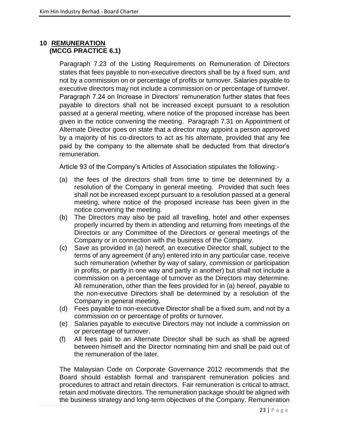# **10 REMUNERATION (MCCG PRACTICE 6.1)**

Paragraph 7.23 of the Listing Requirements on Remuneration of Directors states that fees payable to non-executive directors shall be by a fixed sum, and not by a commission on or percentage of profits or turnover. Salaries payable to executive directors may not include a commission on or percentage of turnover. Paragraph 7.24 on Increase in Directors' remuneration further states that fees payable to directors shall not be increased except pursuant to a resolution passed at a general meeting, where notice of the proposed increase has been given in the notice convening the meeting. Paragraph 7.31 on Appointment of Alternate Director goes on state that a director may appoint a person approved by a majority of his co-directors to act as his alternate, provided that any fee paid by the company to the alternate shall be deducted from that director's remuneration.

Article 93 of the Company's Articles of Association stipulates the following:-

- (a) the fees of the directors shall from time to time be determined by a resolution of the Company in general meeting. Provided that such fees shall not be increased except pursuant to a resolution passed at a general meeting, where notice of the proposed increase has been given in the notice convening the meeting.
- (b) The Directors may also be paid all travelling, hotel and other expenses properly incurred by them in attending and returning from meetings of the Directors or any Committee of the Directors or general meetings of the Company or in connection with the business of the Company.
- (c) Save as provided in (a) hereof, an executive Director shall, subject to the terms of any agreement (if any) entered into in any particular case, receive such remuneration (whether by way of salary, commission or participation in profits, or partly in one way and partly in another) but shall not include a commission on a percentage of turnover as the Directors may determine. All remuneration, other than the fees provided for in (a) hereof, payable to the non-executive Directors shall be determined by a resolution of the Company in general meeting.
- (d) Fees payable to non-executive Director shall be a fixed sum, and not by a commission on or percentage of profits or turnover.
- (e) Salaries payable to executive Directors may not include a commission on or percentage of turnover.
- (f) All fees paid to an Alternate Director shall be such as shall be agreed between himself and the Director nominating him and shall be paid out of the remuneration of the later.

The Malaysian Code on Corporate Governance 2012 recommends that the Board should establish formal and transparent remuneration policies and procedures to attract and retain directors. Fair remuneration is critical to attract, retain and motivate directors. The remuneration package should be aligned with the business strategy and long-term objectives of the Company. Remuneration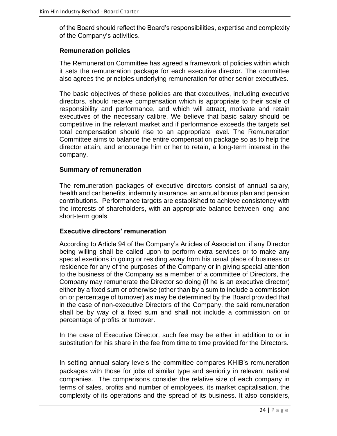of the Board should reflect the Board's responsibilities, expertise and complexity of the Company's activities.

#### **Remuneration policies**

The Remuneration Committee has agreed a framework of policies within which it sets the remuneration package for each executive director. The committee also agrees the principles underlying remuneration for other senior executives.

The basic objectives of these policies are that executives, including executive directors, should receive compensation which is appropriate to their scale of responsibility and performance, and which will attract, motivate and retain executives of the necessary calibre. We believe that basic salary should be competitive in the relevant market and if performance exceeds the targets set total compensation should rise to an appropriate level. The Remuneration Committee aims to balance the entire compensation package so as to help the director attain, and encourage him or her to retain, a long-term interest in the company.

#### **Summary of remuneration**

The remuneration packages of executive directors consist of annual salary, health and car benefits, indemnity insurance, an annual bonus plan and pension contributions. Performance targets are established to achieve consistency with the interests of shareholders, with an appropriate balance between long- and short-term goals.

#### **Executive directors' remuneration**

According to Article 94 of the Company's Articles of Association, if any Director being willing shall be called upon to perform extra services or to make any special exertions in going or residing away from his usual place of business or residence for any of the purposes of the Company or in giving special attention to the business of the Company as a member of a committee of Directors, the Company may remunerate the Director so doing (if he is an executive director) either by a fixed sum or otherwise (other than by a sum to include a commission on or percentage of turnover) as may be determined by the Board provided that in the case of non-executive Directors of the Company, the said remuneration shall be by way of a fixed sum and shall not include a commission on or percentage of profits or turnover.

In the case of Executive Director, such fee may be either in addition to or in substitution for his share in the fee from time to time provided for the Directors.

In setting annual salary levels the committee compares KHIB's remuneration packages with those for jobs of similar type and seniority in relevant national companies. The comparisons consider the relative size of each company in terms of sales, profits and number of employees, its market capitalisation, the complexity of its operations and the spread of its business. It also considers,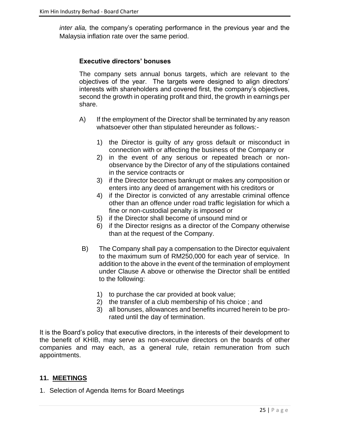*inter alia,* the company's operating performance in the previous year and the Malaysia inflation rate over the same period.

#### **Executive directors' bonuses**

The company sets annual bonus targets, which are relevant to the objectives of the year. The targets were designed to align directors' interests with shareholders and covered first, the company's objectives, second the growth in operating profit and third, the growth in earnings per share.

- A) If the employment of the Director shall be terminated by any reason whatsoever other than stipulated hereunder as follows:-
	- 1) the Director is guilty of any gross default or misconduct in connection with or affecting the business of the Company or
	- 2) in the event of any serious or repeated breach or nonobservance by the Director of any of the stipulations contained in the service contracts or
	- 3) if the Director becomes bankrupt or makes any composition or enters into any deed of arrangement with his creditors or
	- 4) if the Director is convicted of any arrestable criminal offence other than an offence under road traffic legislation for which a fine or non-custodial penalty is imposed or
	- 5) if the Director shall become of unsound mind or
	- 6) if the Director resigns as a director of the Company otherwise than at the request of the Company.
- B) The Company shall pay a compensation to the Director equivalent to the maximum sum of RM250,000 for each year of service. In addition to the above in the event of the termination of employment under Clause A above or otherwise the Director shall be entitled to the following:
	- 1) to purchase the car provided at book value;
	- 2) the transfer of a club membership of his choice ; and
	- 3) all bonuses, allowances and benefits incurred herein to be prorated until the day of termination.

It is the Board's policy that executive directors, in the interests of their development to the benefit of KHIB, may serve as non-executive directors on the boards of other companies and may each, as a general rule, retain remuneration from such appointments.

#### **11. MEETINGS**

1. Selection of Agenda Items for Board Meetings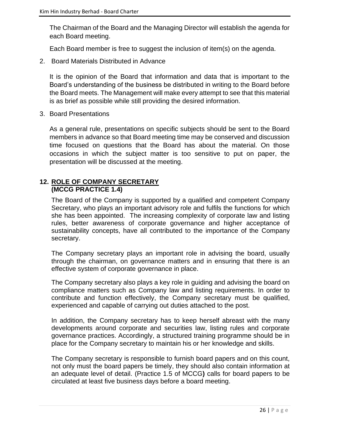The Chairman of the Board and the Managing Director will establish the agenda for each Board meeting.

Each Board member is free to suggest the inclusion of item(s) on the agenda.

2. Board Materials Distributed in Advance

It is the opinion of the Board that information and data that is important to the Board's understanding of the business be distributed in writing to the Board before the Board meets. The Management will make every attempt to see that this material is as brief as possible while still providing the desired information.

3. Board Presentations

As a general rule, presentations on specific subjects should be sent to the Board members in advance so that Board meeting time may be conserved and discussion time focused on questions that the Board has about the material. On those occasions in which the subject matter is too sensitive to put on paper, the presentation will be discussed at the meeting.

# **12. ROLE OF COMPANY SECRETARY (MCCG PRACTICE 1.4)**

The Board of the Company is supported by a qualified and competent Company Secretary, who plays an important advisory role and fulfils the functions for which she has been appointed. The increasing complexity of corporate law and listing rules, better awareness of corporate governance and higher acceptance of sustainability concepts, have all contributed to the importance of the Company secretary.

The Company secretary plays an important role in advising the board, usually through the chairman, on governance matters and in ensuring that there is an effective system of corporate governance in place.

The Company secretary also plays a key role in guiding and advising the board on compliance matters such as Company law and listing requirements. In order to contribute and function effectively, the Company secretary must be qualified, experienced and capable of carrying out duties attached to the post.

In addition, the Company secretary has to keep herself abreast with the many developments around corporate and securities law, listing rules and corporate governance practices. Accordingly, a structured training programme should be in place for the Company secretary to maintain his or her knowledge and skills.

The Company secretary is responsible to furnish board papers and on this count, not only must the board papers be timely, they should also contain information at an adequate level of detail. (Practice 1.5 of MCCG**)** calls for board papers to be circulated at least five business days before a board meeting.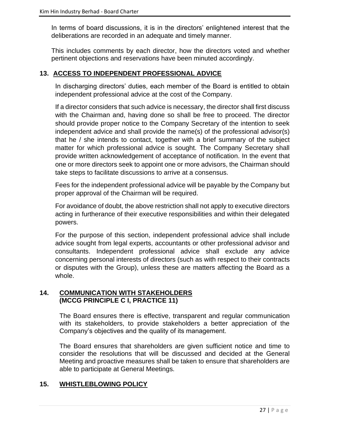In terms of board discussions, it is in the directors' enlightened interest that the deliberations are recorded in an adequate and timely manner.

This includes comments by each director, how the directors voted and whether pertinent objections and reservations have been minuted accordingly.

# **13. ACCESS TO INDEPENDENT PROFESSIONAL ADVICE**

In discharging directors' duties, each member of the Board is entitled to obtain independent professional advice at the cost of the Company.

If a director considers that such advice is necessary, the director shall first discuss with the Chairman and, having done so shall be free to proceed. The director should provide proper notice to the Company Secretary of the intention to seek independent advice and shall provide the name(s) of the professional advisor(s) that he / she intends to contact, together with a brief summary of the subject matter for which professional advice is sought. The Company Secretary shall provide written acknowledgement of acceptance of notification. In the event that one or more directors seek to appoint one or more advisors, the Chairman should take steps to facilitate discussions to arrive at a consensus.

Fees for the independent professional advice will be payable by the Company but proper approval of the Chairman will be required.

For avoidance of doubt, the above restriction shall not apply to executive directors acting in furtherance of their executive responsibilities and within their delegated powers.

For the purpose of this section, independent professional advice shall include advice sought from legal experts, accountants or other professional advisor and consultants. Independent professional advice shall exclude any advice concerning personal interests of directors (such as with respect to their contracts or disputes with the Group), unless these are matters affecting the Board as a whole.

#### **14. COMMUNICATION WITH STAKEHOLDERS (MCCG PRINCIPLE C I, PRACTICE 11)**

The Board ensures there is effective, transparent and regular communication with its stakeholders, to provide stakeholders a better appreciation of the Company's objectives and the quality of its management.

The Board ensures that shareholders are given sufficient notice and time to consider the resolutions that will be discussed and decided at the General Meeting and proactive measures shall be taken to ensure that shareholders are able to participate at General Meetings.

# **15. WHISTLEBLOWING POLICY**